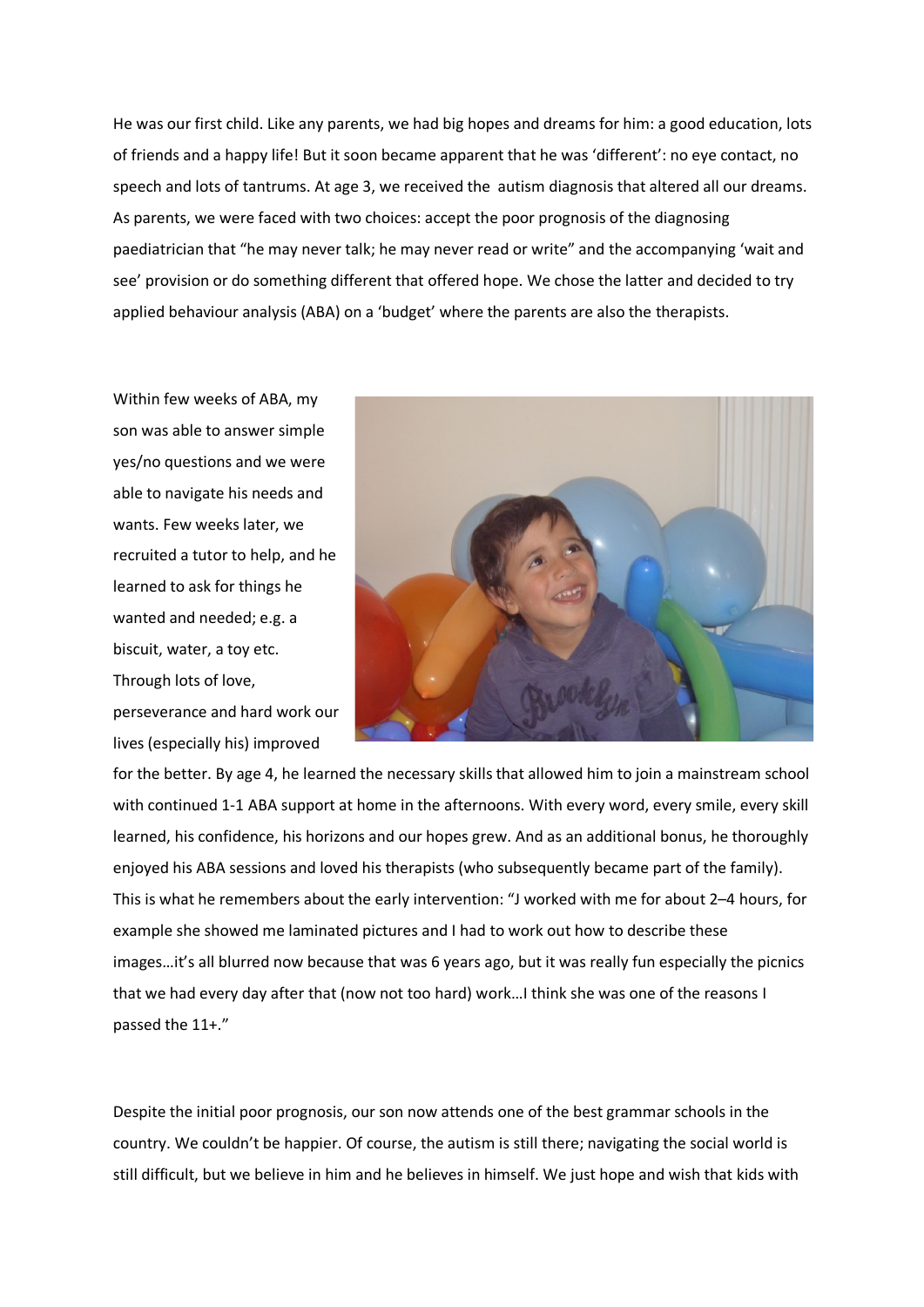He was our first child. Like any parents, we had big hopes and dreams for him: a good education, lots of friends and a happy life! But it soon became apparent that he was 'different': no eye contact, no speech and lots of tantrums. At age 3, we received the autism diagnosis that altered all our dreams. As parents, we were faced with two choices: accept the poor prognosis of the diagnosing paediatrician that "he may never talk; he may never read or write" and the accompanying 'wait and see' provision or do something different that offered hope. We chose the latter and decided to try applied behaviour analysis (ABA) on a 'budget' where the parents are also the therapists.

Within few weeks of ABA, my son was able to answer simple yes/no questions and we were able to navigate his needs and wants. Few weeks later, we recruited a tutor to help, and he learned to ask for things he wanted and needed; e.g. a biscuit, water, a toy etc. Through lots of love, perseverance and hard work our lives (especially his) improved



for the better. By age 4, he learned the necessary skills that allowed him to join a mainstream school with continued 1-1 ABA support at home in the afternoons. With every word, every smile, every skill learned, his confidence, his horizons and our hopes grew. And as an additional bonus, he thoroughly enjoyed his ABA sessions and loved his therapists (who subsequently became part of the family). This is what he remembers about the early intervention: "J worked with me for about 2–4 hours, for example she showed me laminated pictures and I had to work out how to describe these images…it's all blurred now because that was 6 years ago, but it was really fun especially the picnics that we had every day after that (now not too hard) work…I think she was one of the reasons I passed the 11+."

Despite the initial poor prognosis, our son now attends one of the best grammar schools in the country. We couldn't be happier. Of course, the autism is still there; navigating the social world is still difficult, but we believe in him and he believes in himself. We just hope and wish that kids with